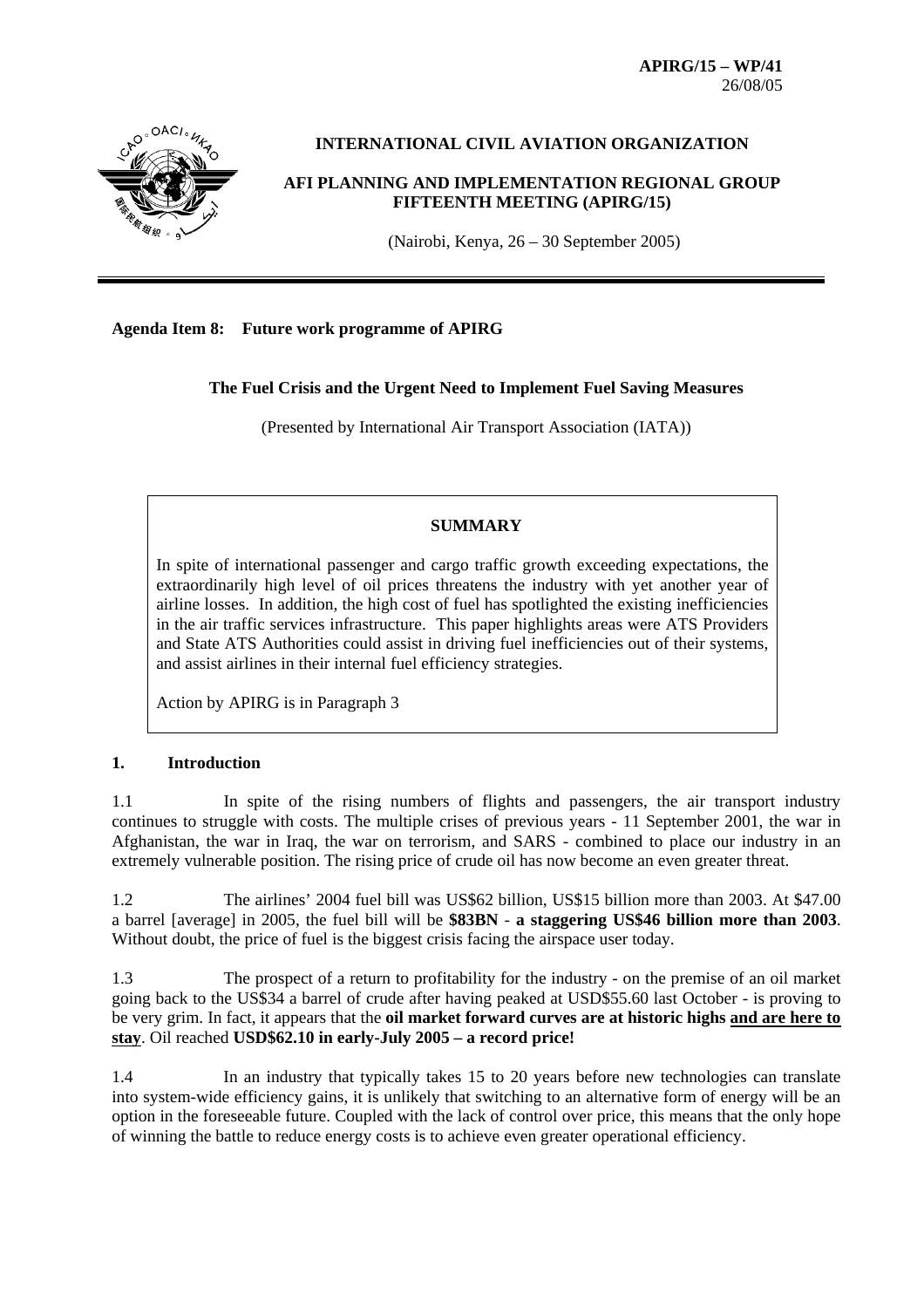**APIRG/15 – WP/41**  26/08/05



# **INTERNATIONAL CIVIL AVIATION ORGANIZATION**

**AFI PLANNING AND IMPLEMENTATION REGIONAL GROUP FIFTEENTH MEETING (APIRG/15)**

(Nairobi, Kenya, 26 – 30 September 2005)

# **Agenda Item 8: Future work programme of APIRG**

**The Fuel Crisis and the Urgent Need to Implement Fuel Saving Measures** 

(Presented by International Air Transport Association (IATA))

# **SUMMARY**

In spite of international passenger and cargo traffic growth exceeding expectations, the extraordinarily high level of oil prices threatens the industry with yet another year of airline losses. In addition, the high cost of fuel has spotlighted the existing inefficiencies in the air traffic services infrastructure. This paper highlights areas were ATS Providers and State ATS Authorities could assist in driving fuel inefficiencies out of their systems, and assist airlines in their internal fuel efficiency strategies.

Action by APIRG is in Paragraph 3

## **1. Introduction**

1.1 In spite of the rising numbers of flights and passengers, the air transport industry continues to struggle with costs. The multiple crises of previous years - 11 September 2001, the war in Afghanistan, the war in Iraq, the war on terrorism, and SARS - combined to place our industry in an extremely vulnerable position. The rising price of crude oil has now become an even greater threat.

1.2 The airlines' 2004 fuel bill was US\$62 billion, US\$15 billion more than 2003. At \$47.00 a barrel [average] in 2005, the fuel bill will be **\$83BN** - **a staggering US\$46 billion more than 2003**. Without doubt, the price of fuel is the biggest crisis facing the airspace user today.

1.3 The prospect of a return to profitability for the industry - on the premise of an oil market going back to the US\$34 a barrel of crude after having peaked at USD\$55.60 last October - is proving to be very grim. In fact, it appears that the **oil market forward curves are at historic highs and are here to stay**. Oil reached **USD\$62.10 in early-July 2005 – a record price!**

1.4 In an industry that typically takes 15 to 20 years before new technologies can translate into system-wide efficiency gains, it is unlikely that switching to an alternative form of energy will be an option in the foreseeable future. Coupled with the lack of control over price, this means that the only hope of winning the battle to reduce energy costs is to achieve even greater operational efficiency.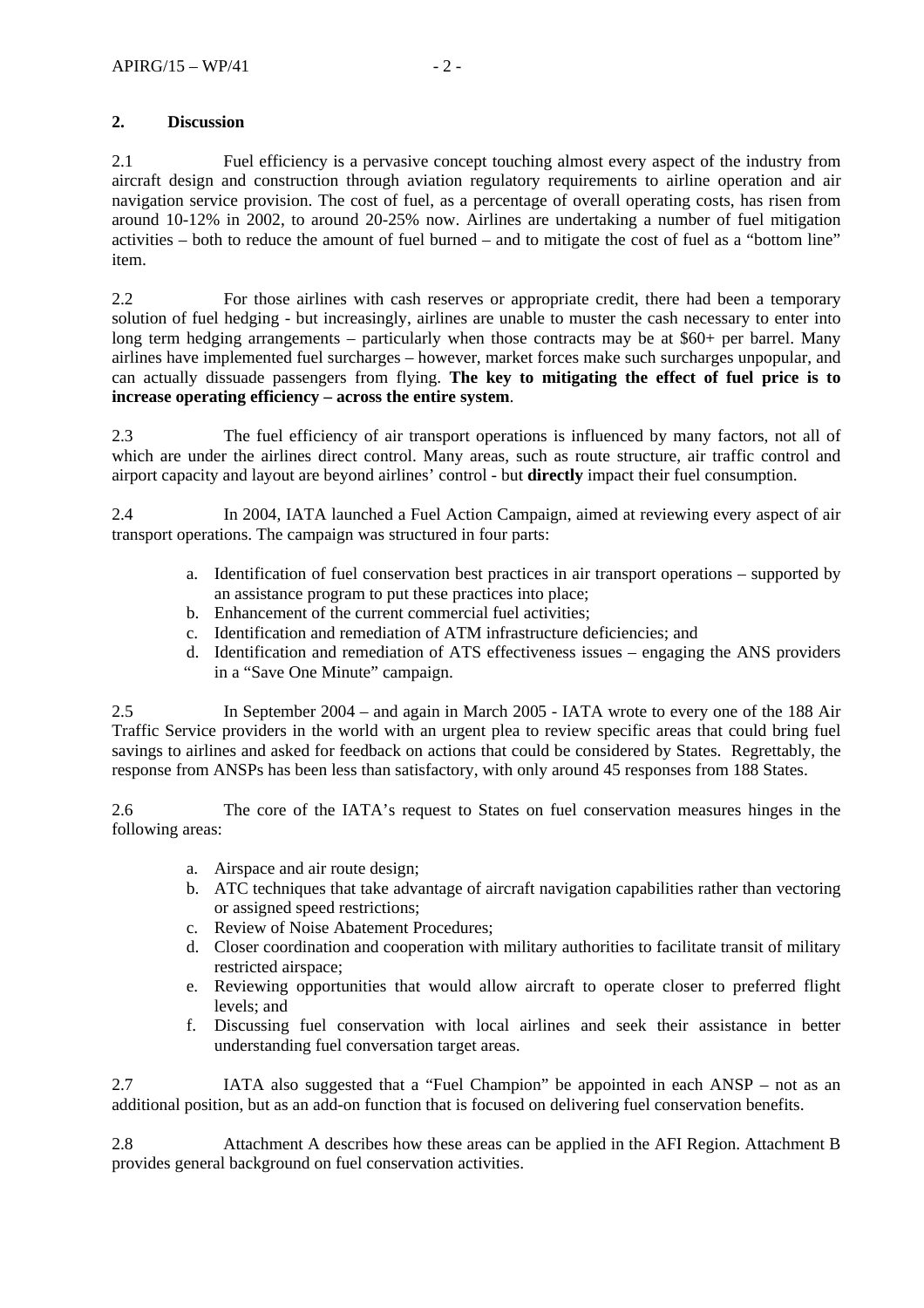# **2. Discussion**

2.1 Fuel efficiency is a pervasive concept touching almost every aspect of the industry from aircraft design and construction through aviation regulatory requirements to airline operation and air navigation service provision. The cost of fuel, as a percentage of overall operating costs, has risen from around 10-12% in 2002, to around 20-25% now. Airlines are undertaking a number of fuel mitigation activities – both to reduce the amount of fuel burned – and to mitigate the cost of fuel as a "bottom line" item.

2.2 For those airlines with cash reserves or appropriate credit, there had been a temporary solution of fuel hedging - but increasingly, airlines are unable to muster the cash necessary to enter into long term hedging arrangements – particularly when those contracts may be at \$60+ per barrel. Many airlines have implemented fuel surcharges – however, market forces make such surcharges unpopular, and can actually dissuade passengers from flying. **The key to mitigating the effect of fuel price is to increase operating efficiency – across the entire system**.

2.3 The fuel efficiency of air transport operations is influenced by many factors, not all of which are under the airlines direct control. Many areas, such as route structure, air traffic control and airport capacity and layout are beyond airlines' control - but **directly** impact their fuel consumption.

2.4 In 2004, IATA launched a Fuel Action Campaign, aimed at reviewing every aspect of air transport operations. The campaign was structured in four parts:

- a. Identification of fuel conservation best practices in air transport operations supported by an assistance program to put these practices into place;
- b. Enhancement of the current commercial fuel activities;
- c. Identification and remediation of ATM infrastructure deficiencies; and
- d. Identification and remediation of ATS effectiveness issues engaging the ANS providers in a "Save One Minute" campaign.

2.5 In September 2004 – and again in March 2005 - IATA wrote to every one of the 188 Air Traffic Service providers in the world with an urgent plea to review specific areas that could bring fuel savings to airlines and asked for feedback on actions that could be considered by States. Regrettably, the response from ANSPs has been less than satisfactory, with only around 45 responses from 188 States.

2.6 The core of the IATA's request to States on fuel conservation measures hinges in the following areas:

- a. Airspace and air route design;
- b. ATC techniques that take advantage of aircraft navigation capabilities rather than vectoring or assigned speed restrictions;
- c. Review of Noise Abatement Procedures;
- d. Closer coordination and cooperation with military authorities to facilitate transit of military restricted airspace;
- e. Reviewing opportunities that would allow aircraft to operate closer to preferred flight levels; and
- f. Discussing fuel conservation with local airlines and seek their assistance in better understanding fuel conversation target areas.

2.7 IATA also suggested that a "Fuel Champion" be appointed in each ANSP – not as an additional position, but as an add-on function that is focused on delivering fuel conservation benefits.

2.8 Attachment A describes how these areas can be applied in the AFI Region. Attachment B provides general background on fuel conservation activities.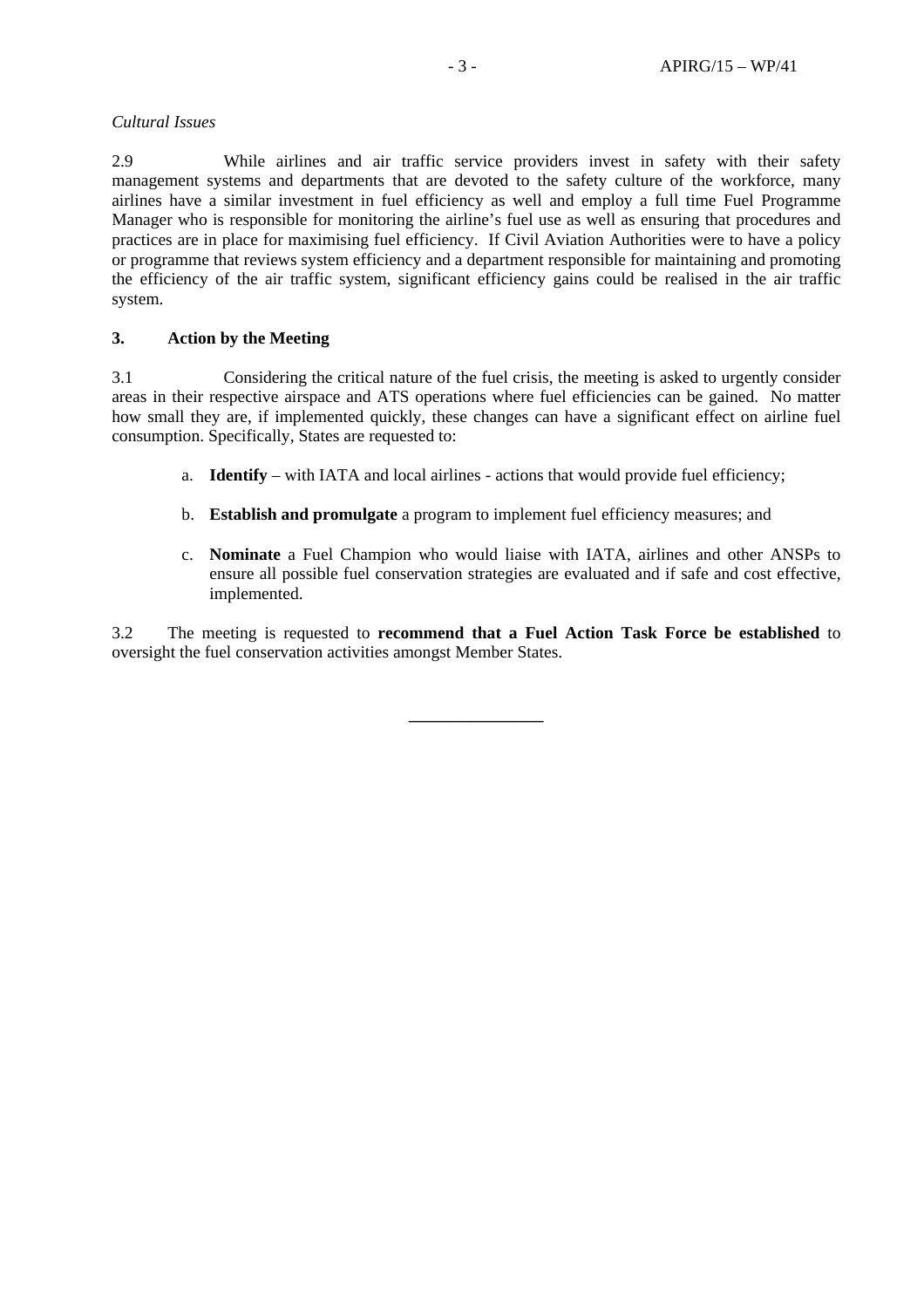# *Cultural Issues*

2.9 While airlines and air traffic service providers invest in safety with their safety management systems and departments that are devoted to the safety culture of the workforce, many airlines have a similar investment in fuel efficiency as well and employ a full time Fuel Programme Manager who is responsible for monitoring the airline's fuel use as well as ensuring that procedures and practices are in place for maximising fuel efficiency. If Civil Aviation Authorities were to have a policy or programme that reviews system efficiency and a department responsible for maintaining and promoting the efficiency of the air traffic system, significant efficiency gains could be realised in the air traffic system.

# **3. Action by the Meeting**

3.1 Considering the critical nature of the fuel crisis, the meeting is asked to urgently consider areas in their respective airspace and ATS operations where fuel efficiencies can be gained. No matter how small they are, if implemented quickly, these changes can have a significant effect on airline fuel consumption. Specifically, States are requested to:

- a. **Identify** with IATA and local airlines actions that would provide fuel efficiency;
- b. **Establish and promulgate** a program to implement fuel efficiency measures; and
- c. **Nominate** a Fuel Champion who would liaise with IATA, airlines and other ANSPs to ensure all possible fuel conservation strategies are evaluated and if safe and cost effective, implemented.

3.2 The meeting is requested to **recommend that a Fuel Action Task Force be established** to oversight the fuel conservation activities amongst Member States.

\_\_\_\_\_\_\_\_\_\_\_\_\_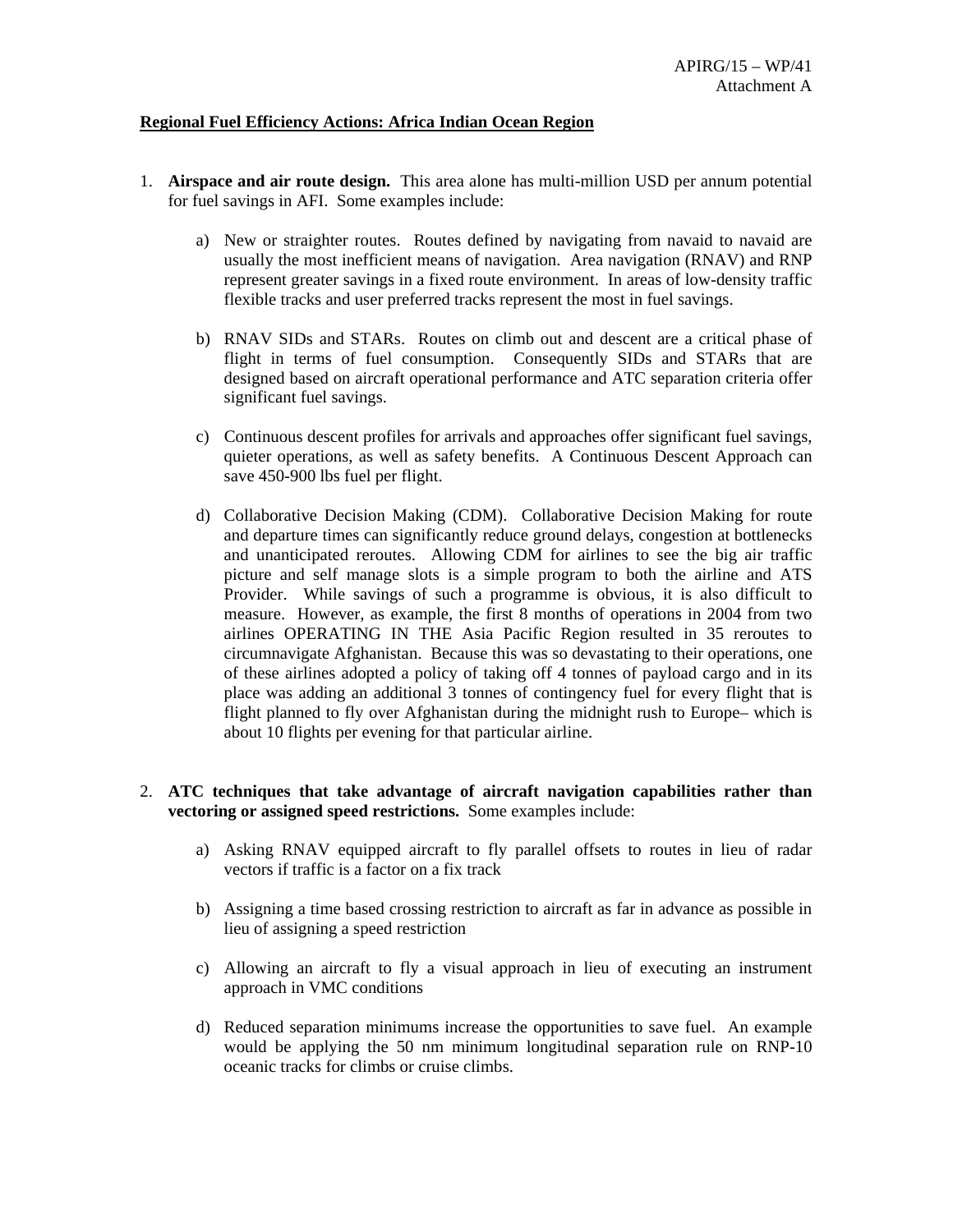## **Regional Fuel Efficiency Actions: Africa Indian Ocean Region**

- 1. **Airspace and air route design.** This area alone has multi-million USD per annum potential for fuel savings in AFI. Some examples include:
	- a) New or straighter routes. Routes defined by navigating from navaid to navaid are usually the most inefficient means of navigation. Area navigation (RNAV) and RNP represent greater savings in a fixed route environment. In areas of low-density traffic flexible tracks and user preferred tracks represent the most in fuel savings.
	- b) RNAV SIDs and STARs. Routes on climb out and descent are a critical phase of flight in terms of fuel consumption. Consequently SIDs and STARs that are designed based on aircraft operational performance and ATC separation criteria offer significant fuel savings.
	- c) Continuous descent profiles for arrivals and approaches offer significant fuel savings, quieter operations, as well as safety benefits. A Continuous Descent Approach can save 450-900 lbs fuel per flight.
	- d) Collaborative Decision Making (CDM). Collaborative Decision Making for route and departure times can significantly reduce ground delays, congestion at bottlenecks and unanticipated reroutes. Allowing CDM for airlines to see the big air traffic picture and self manage slots is a simple program to both the airline and ATS Provider. While savings of such a programme is obvious, it is also difficult to measure. However, as example, the first 8 months of operations in 2004 from two airlines OPERATING IN THE Asia Pacific Region resulted in 35 reroutes to circumnavigate Afghanistan. Because this was so devastating to their operations, one of these airlines adopted a policy of taking off 4 tonnes of payload cargo and in its place was adding an additional 3 tonnes of contingency fuel for every flight that is flight planned to fly over Afghanistan during the midnight rush to Europe– which is about 10 flights per evening for that particular airline.

## 2. **ATC techniques that take advantage of aircraft navigation capabilities rather than vectoring or assigned speed restrictions.** Some examples include:

- a) Asking RNAV equipped aircraft to fly parallel offsets to routes in lieu of radar vectors if traffic is a factor on a fix track
- b) Assigning a time based crossing restriction to aircraft as far in advance as possible in lieu of assigning a speed restriction
- c) Allowing an aircraft to fly a visual approach in lieu of executing an instrument approach in VMC conditions
- d) Reduced separation minimums increase the opportunities to save fuel. An example would be applying the 50 nm minimum longitudinal separation rule on RNP-10 oceanic tracks for climbs or cruise climbs.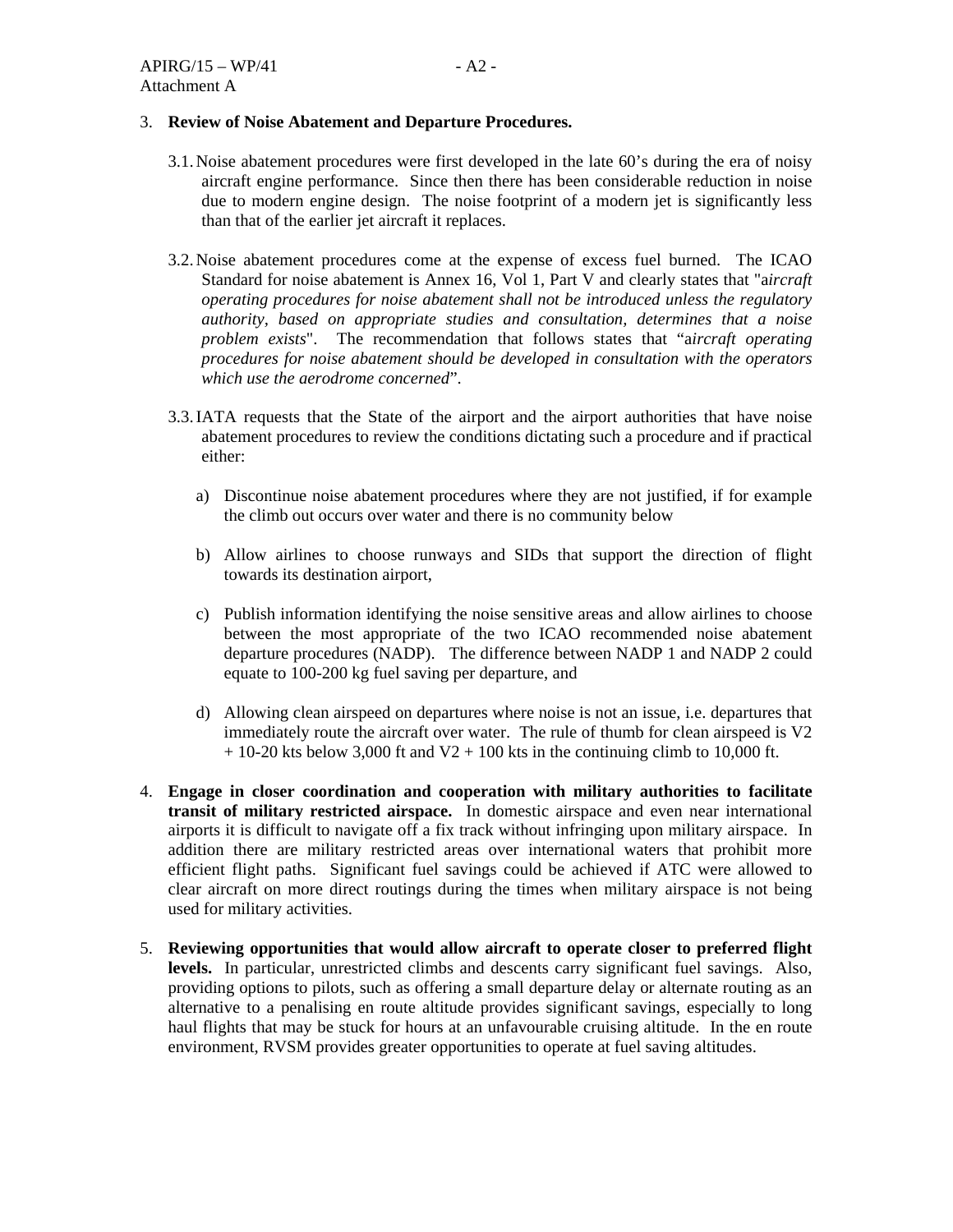## 3. **Review of Noise Abatement and Departure Procedures.**

- 3.1. Noise abatement procedures were first developed in the late 60's during the era of noisy aircraft engine performance. Since then there has been considerable reduction in noise due to modern engine design. The noise footprint of a modern jet is significantly less than that of the earlier jet aircraft it replaces.
- 3.2. Noise abatement procedures come at the expense of excess fuel burned. The ICAO Standard for noise abatement is Annex 16, Vol 1, Part V and clearly states that "a*ircraft operating procedures for noise abatement shall not be introduced unless the regulatory authority, based on appropriate studies and consultation, determines that a noise problem exists*". The recommendation that follows states that "a*ircraft operating procedures for noise abatement should be developed in consultation with the operators which use the aerodrome concerned*".
- 3.3. IATA requests that the State of the airport and the airport authorities that have noise abatement procedures to review the conditions dictating such a procedure and if practical either:
	- a) Discontinue noise abatement procedures where they are not justified, if for example the climb out occurs over water and there is no community below
	- b) Allow airlines to choose runways and SIDs that support the direction of flight towards its destination airport,
	- c) Publish information identifying the noise sensitive areas and allow airlines to choose between the most appropriate of the two ICAO recommended noise abatement departure procedures (NADP). The difference between NADP 1 and NADP 2 could equate to 100-200 kg fuel saving per departure, and
	- d) Allowing clean airspeed on departures where noise is not an issue, i.e. departures that immediately route the aircraft over water. The rule of thumb for clean airspeed is V2  $+ 10-20$  kts below 3,000 ft and V2  $+ 100$  kts in the continuing climb to 10,000 ft.
- 4. **Engage in closer coordination and cooperation with military authorities to facilitate transit of military restricted airspace.** In domestic airspace and even near international airports it is difficult to navigate off a fix track without infringing upon military airspace. In addition there are military restricted areas over international waters that prohibit more efficient flight paths. Significant fuel savings could be achieved if ATC were allowed to clear aircraft on more direct routings during the times when military airspace is not being used for military activities.
- 5. **Reviewing opportunities that would allow aircraft to operate closer to preferred flight levels.** In particular, unrestricted climbs and descents carry significant fuel savings. Also, providing options to pilots, such as offering a small departure delay or alternate routing as an alternative to a penalising en route altitude provides significant savings, especially to long haul flights that may be stuck for hours at an unfavourable cruising altitude. In the en route environment, RVSM provides greater opportunities to operate at fuel saving altitudes.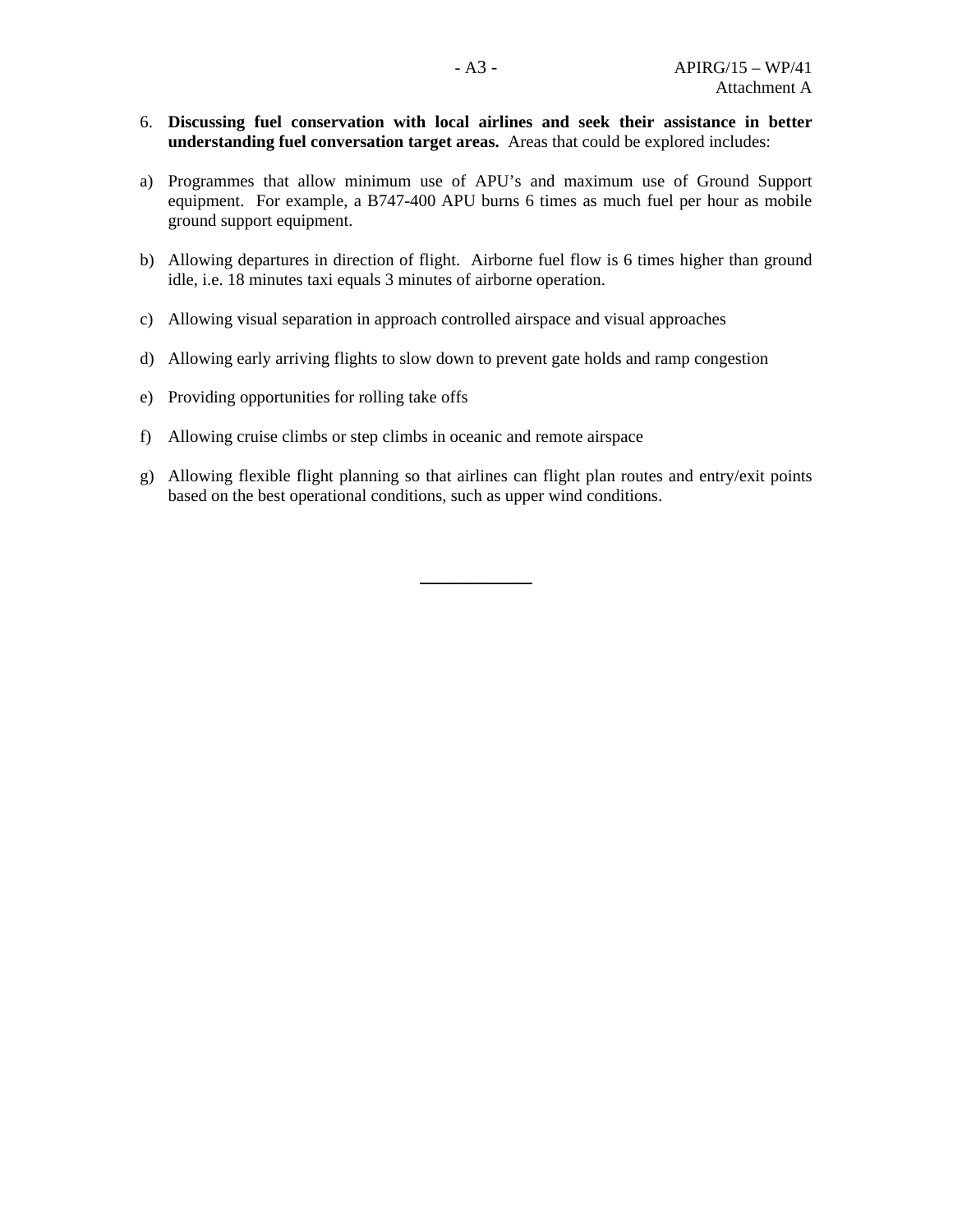- 6. **Discussing fuel conservation with local airlines and seek their assistance in better understanding fuel conversation target areas.** Areas that could be explored includes:
- a) Programmes that allow minimum use of APU's and maximum use of Ground Support equipment. For example, a B747-400 APU burns 6 times as much fuel per hour as mobile ground support equipment.
- b) Allowing departures in direction of flight. Airborne fuel flow is 6 times higher than ground idle, i.e. 18 minutes taxi equals 3 minutes of airborne operation.
- c) Allowing visual separation in approach controlled airspace and visual approaches
- d) Allowing early arriving flights to slow down to prevent gate holds and ramp congestion
- e) Providing opportunities for rolling take offs
- f) Allowing cruise climbs or step climbs in oceanic and remote airspace
- g) Allowing flexible flight planning so that airlines can flight plan routes and entry/exit points based on the best operational conditions, such as upper wind conditions.

**\_\_\_\_\_\_\_\_\_\_\_\_**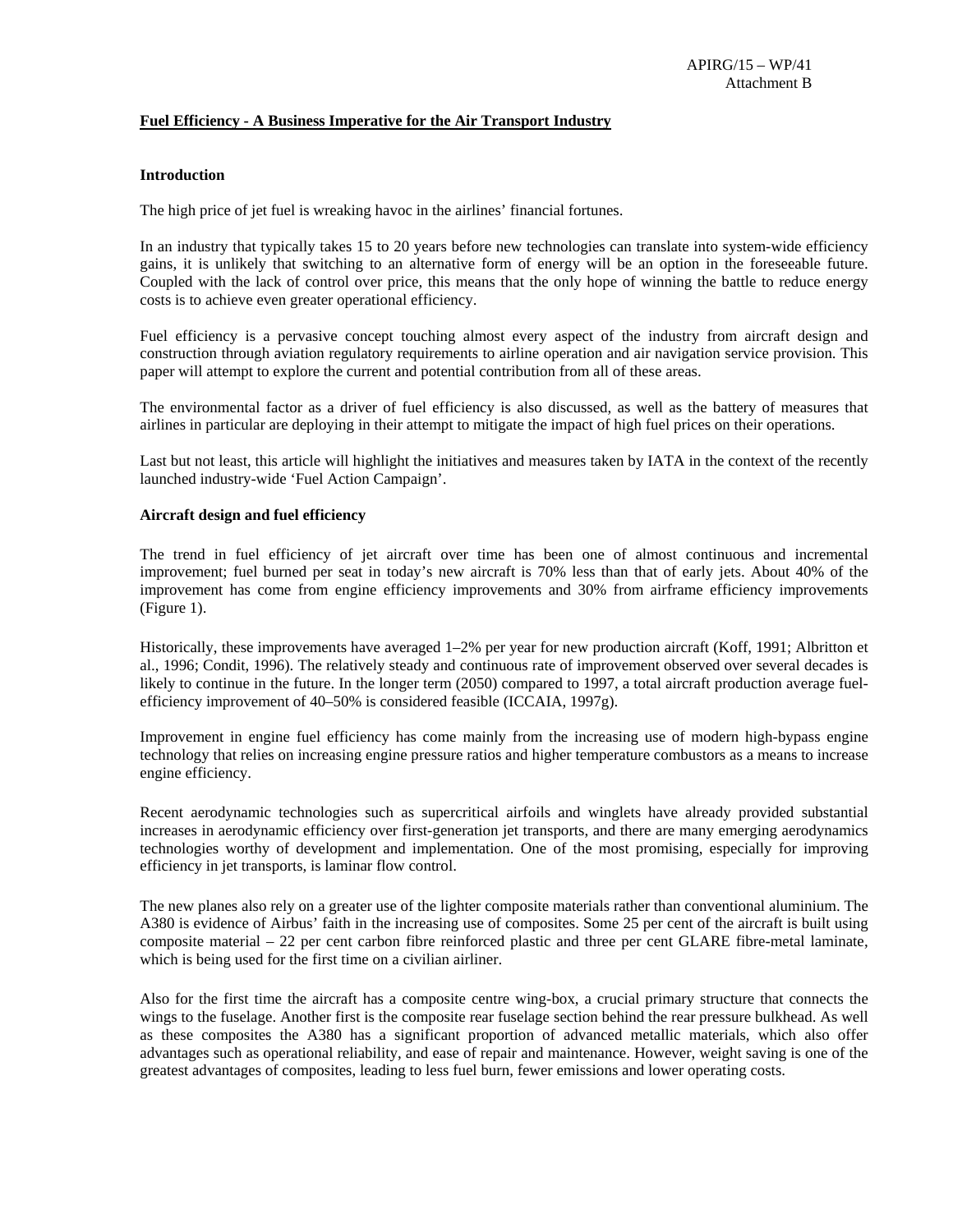#### **Fuel Efficiency - A Business Imperative for the Air Transport Industry**

#### **Introduction**

The high price of jet fuel is wreaking havoc in the airlines' financial fortunes.

In an industry that typically takes 15 to 20 years before new technologies can translate into system-wide efficiency gains, it is unlikely that switching to an alternative form of energy will be an option in the foreseeable future. Coupled with the lack of control over price, this means that the only hope of winning the battle to reduce energy costs is to achieve even greater operational efficiency.

Fuel efficiency is a pervasive concept touching almost every aspect of the industry from aircraft design and construction through aviation regulatory requirements to airline operation and air navigation service provision. This paper will attempt to explore the current and potential contribution from all of these areas.

The environmental factor as a driver of fuel efficiency is also discussed, as well as the battery of measures that airlines in particular are deploying in their attempt to mitigate the impact of high fuel prices on their operations.

Last but not least, this article will highlight the initiatives and measures taken by IATA in the context of the recently launched industry-wide 'Fuel Action Campaign'.

#### **Aircraft design and fuel efficiency**

The trend in fuel efficiency of jet aircraft over time has been one of almost continuous and incremental improvement; fuel burned per seat in today's new aircraft is 70% less than that of early jets. About 40% of the improvement has come from engine efficiency improvements and 30% from airframe efficiency improvements (Figure 1).

Historically, these improvements have averaged 1–2% per year for new production aircraft (Koff, 1991; Albritton et al., 1996; Condit, 1996). The relatively steady and continuous rate of improvement observed over several decades is likely to continue in the future. In the longer term (2050) compared to 1997, a total aircraft production average fuelefficiency improvement of 40–50% is considered feasible (ICCAIA, 1997g).

Improvement in engine fuel efficiency has come mainly from the increasing use of modern high-bypass engine technology that relies on increasing engine pressure ratios and higher temperature combustors as a means to increase engine efficiency.

Recent aerodynamic technologies such as supercritical airfoils and winglets have already provided substantial increases in aerodynamic efficiency over first-generation jet transports, and there are many emerging aerodynamics technologies worthy of development and implementation. One of the most promising, especially for improving efficiency in jet transports, is laminar flow control.

The new planes also rely on a greater use of the lighter composite materials rather than conventional aluminium. The A380 is evidence of Airbus' faith in the increasing use of composites. Some 25 per cent of the aircraft is built using composite material – 22 per cent carbon fibre reinforced plastic and three per cent GLARE fibre-metal laminate, which is being used for the first time on a civilian airliner.

Also for the first time the aircraft has a composite centre wing-box, a crucial primary structure that connects the wings to the fuselage. Another first is the composite rear fuselage section behind the rear pressure bulkhead. As well as these composites the A380 has a significant proportion of advanced metallic materials, which also offer advantages such as operational reliability, and ease of repair and maintenance. However, weight saving is one of the greatest advantages of composites, leading to less fuel burn, fewer emissions and lower operating costs.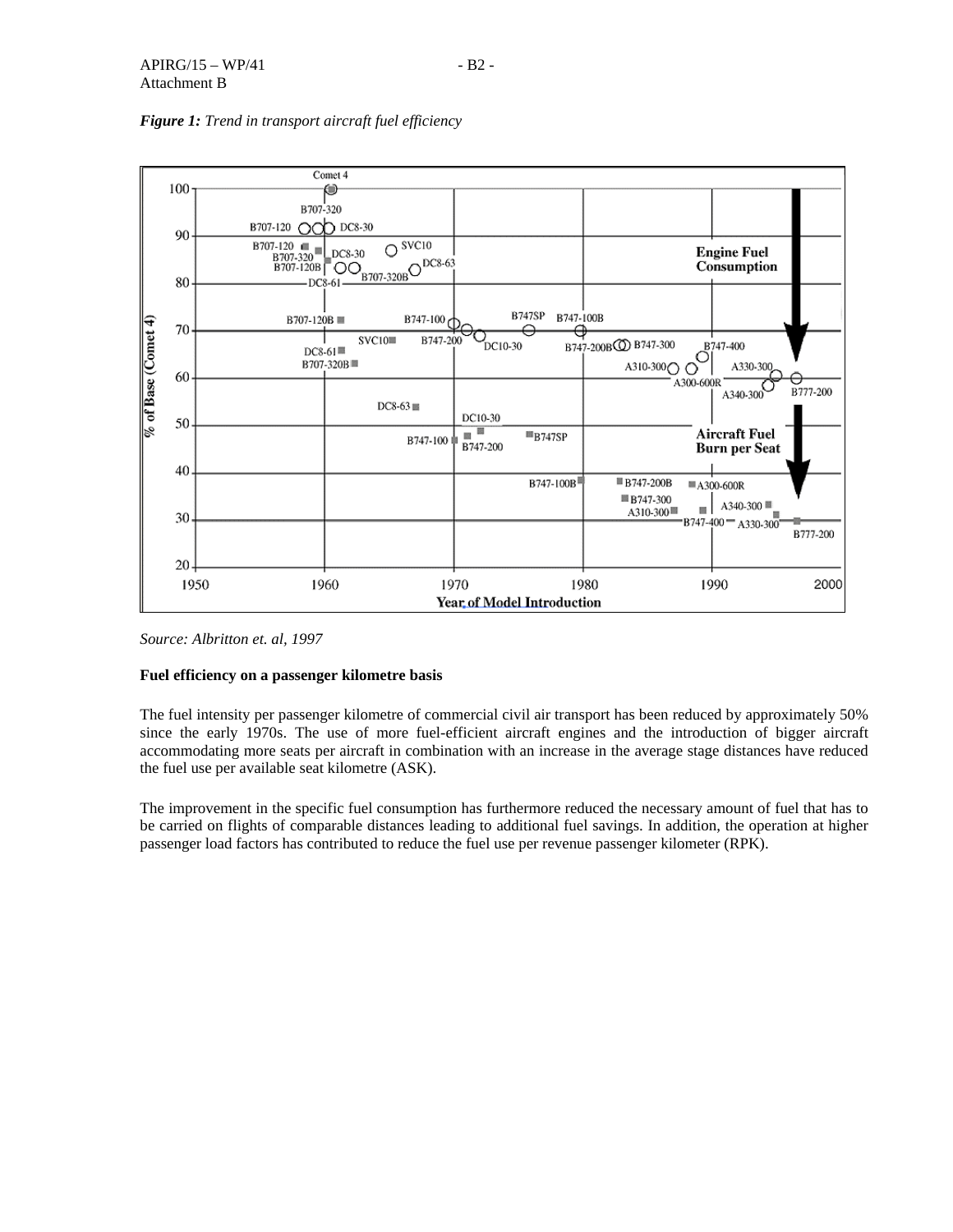

## *Figure 1: Trend in transport aircraft fuel efficiency*

*Source: Albritton et. al, 1997* 

## **Fuel efficiency on a passenger kilometre basis**

The fuel intensity per passenger kilometre of commercial civil air transport has been reduced by approximately 50% since the early 1970s. The use of more fuel-efficient aircraft engines and the introduction of bigger aircraft accommodating more seats per aircraft in combination with an increase in the average stage distances have reduced the fuel use per available seat kilometre (ASK).

The improvement in the specific fuel consumption has furthermore reduced the necessary amount of fuel that has to be carried on flights of comparable distances leading to additional fuel savings. In addition, the operation at higher passenger load factors has contributed to reduce the fuel use per revenue passenger kilometer (RPK).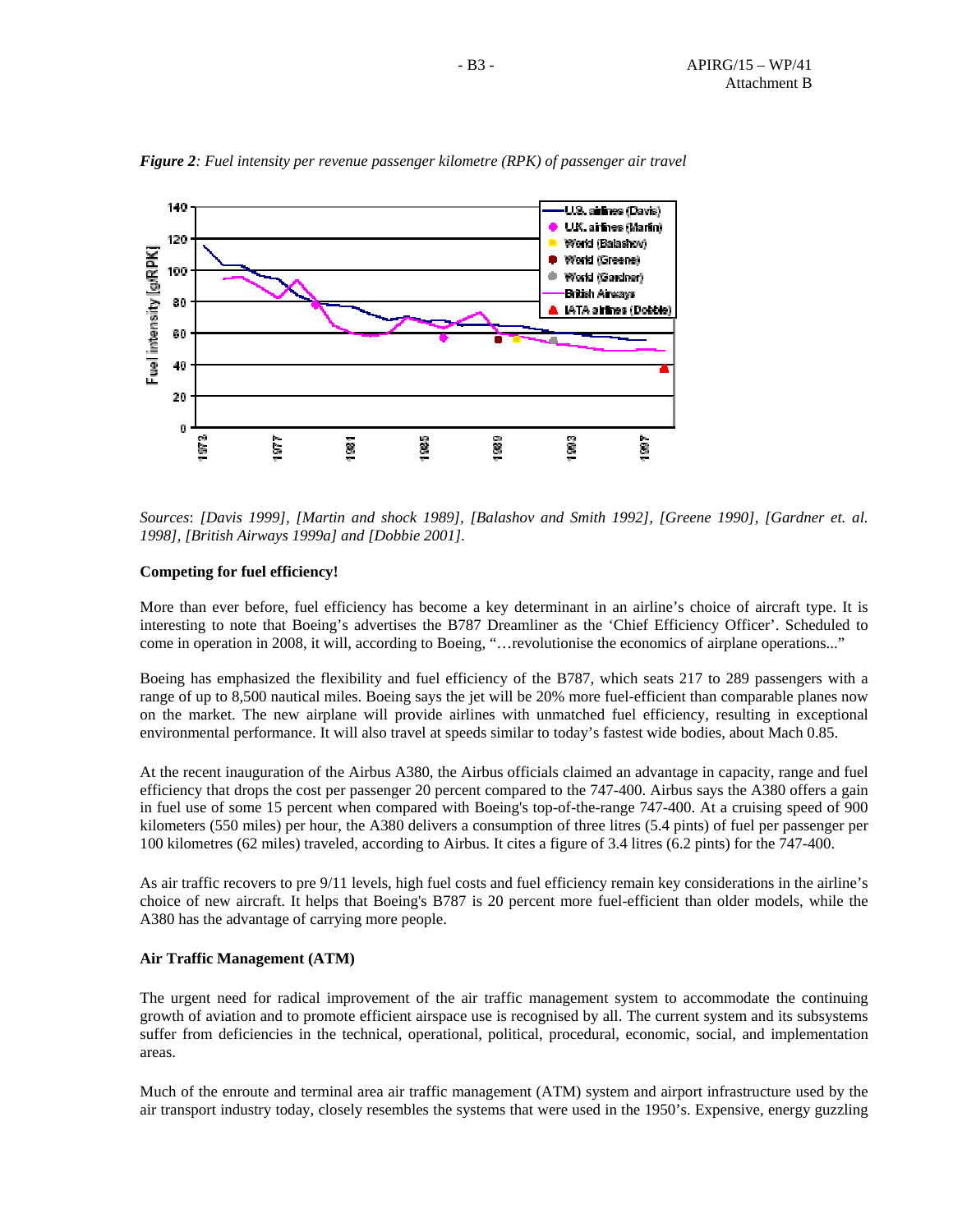

*Figure 2: Fuel intensity per revenue passenger kilometre (RPK) of passenger air travel*

*Sources*: *[Davis 1999], [Martin and shock 1989], [Balashov and Smith 1992], [Greene 1990], [Gardner et. al. 1998], [British Airways 1999a] and [Dobbie 2001].*

#### **Competing for fuel efficiency!**

More than ever before, fuel efficiency has become a key determinant in an airline's choice of aircraft type. It is interesting to note that Boeing's advertises the B787 Dreamliner as the 'Chief Efficiency Officer'. Scheduled to come in operation in 2008, it will, according to Boeing, "…revolutionise the economics of airplane operations..."

Boeing has emphasized the flexibility and fuel efficiency of the B787, which seats 217 to 289 passengers with a range of up to 8,500 nautical miles. Boeing says the jet will be 20% more fuel-efficient than comparable planes now on the market. The new airplane will provide airlines with unmatched fuel efficiency, resulting in exceptional environmental performance. It will also travel at speeds similar to today's fastest wide bodies, about Mach 0.85.

At the recent inauguration of the Airbus A380, the Airbus officials claimed an advantage in capacity, range and fuel efficiency that drops the cost per passenger 20 percent compared to the 747-400. Airbus says the A380 offers a gain in fuel use of some 15 percent when compared with Boeing's top-of-the-range 747-400. At a cruising speed of 900 kilometers (550 miles) per hour, the A380 delivers a consumption of three litres (5.4 pints) of fuel per passenger per 100 kilometres (62 miles) traveled, according to Airbus. It cites a figure of 3.4 litres (6.2 pints) for the 747-400.

As air traffic recovers to pre 9/11 levels, high fuel costs and fuel efficiency remain key considerations in the airline's choice of new aircraft. It helps that Boeing's B787 is 20 percent more fuel-efficient than older models, while the A380 has the advantage of carrying more people.

#### **Air Traffic Management (ATM)**

The urgent need for radical improvement of the air traffic management system to accommodate the continuing growth of aviation and to promote efficient airspace use is recognised by all. The current system and its subsystems suffer from deficiencies in the technical, operational, political, procedural, economic, social, and implementation areas.

Much of the enroute and terminal area air traffic management (ATM) system and airport infrastructure used by the air transport industry today, closely resembles the systems that were used in the 1950's. Expensive, energy guzzling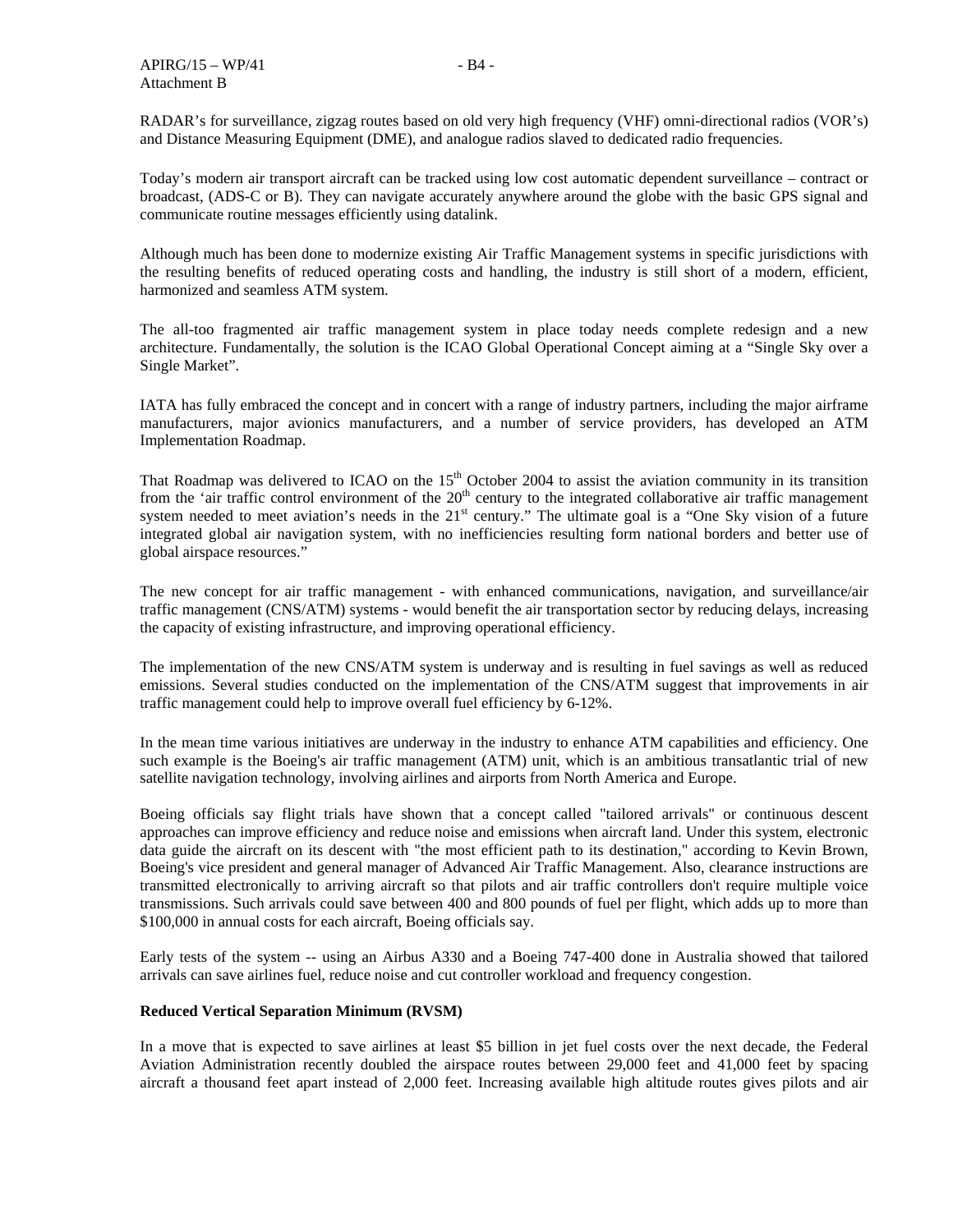RADAR's for surveillance, zigzag routes based on old very high frequency (VHF) omni-directional radios (VOR's) and Distance Measuring Equipment (DME), and analogue radios slaved to dedicated radio frequencies.

Today's modern air transport aircraft can be tracked using low cost automatic dependent surveillance – contract or broadcast, (ADS-C or B). They can navigate accurately anywhere around the globe with the basic GPS signal and communicate routine messages efficiently using datalink.

Although much has been done to modernize existing Air Traffic Management systems in specific jurisdictions with the resulting benefits of reduced operating costs and handling, the industry is still short of a modern, efficient, harmonized and seamless ATM system.

The all-too fragmented air traffic management system in place today needs complete redesign and a new architecture. Fundamentally, the solution is the ICAO Global Operational Concept aiming at a "Single Sky over a Single Market".

IATA has fully embraced the concept and in concert with a range of industry partners, including the major airframe manufacturers, major avionics manufacturers, and a number of service providers, has developed an ATM Implementation Roadmap.

That Roadmap was delivered to ICAO on the  $15<sup>th</sup>$  October 2004 to assist the aviation community in its transition from the 'air traffic control environment of the  $20<sup>th</sup>$  century to the integrated collaborative air traffic management system needed to meet aviation's needs in the 21<sup>st</sup> century." The ultimate goal is a "One Sky vision of a future integrated global air navigation system, with no inefficiencies resulting form national borders and better use of global airspace resources."

The new concept for air traffic management - with enhanced communications, navigation, and surveillance/air traffic management (CNS/ATM) systems - would benefit the air transportation sector by reducing delays, increasing the capacity of existing infrastructure, and improving operational efficiency.

The implementation of the new CNS/ATM system is underway and is resulting in fuel savings as well as reduced emissions. Several studies conducted on the implementation of the CNS/ATM suggest that improvements in air traffic management could help to improve overall fuel efficiency by 6-12%.

In the mean time various initiatives are underway in the industry to enhance ATM capabilities and efficiency. One such example is the Boeing's air traffic management (ATM) unit, which is an ambitious transatlantic trial of new satellite navigation technology, involving airlines and airports from North America and Europe.

Boeing officials say flight trials have shown that a concept called "tailored arrivals" or continuous descent approaches can improve efficiency and reduce noise and emissions when aircraft land. Under this system, electronic data guide the aircraft on its descent with "the most efficient path to its destination," according to Kevin Brown, Boeing's vice president and general manager of Advanced Air Traffic Management. Also, clearance instructions are transmitted electronically to arriving aircraft so that pilots and air traffic controllers don't require multiple voice transmissions. Such arrivals could save between 400 and 800 pounds of fuel per flight, which adds up to more than \$100,000 in annual costs for each aircraft, Boeing officials say.

Early tests of the system -- using an Airbus A330 and a Boeing 747-400 done in Australia showed that tailored arrivals can save airlines fuel, reduce noise and cut controller workload and frequency congestion.

### **Reduced Vertical Separation Minimum (RVSM)**

In a move that is expected to save airlines at least \$5 billion in jet fuel costs over the next decade, the Federal Aviation Administration recently doubled the airspace routes between 29,000 feet and 41,000 feet by spacing aircraft a thousand feet apart instead of 2,000 feet. Increasing available high altitude routes gives pilots and air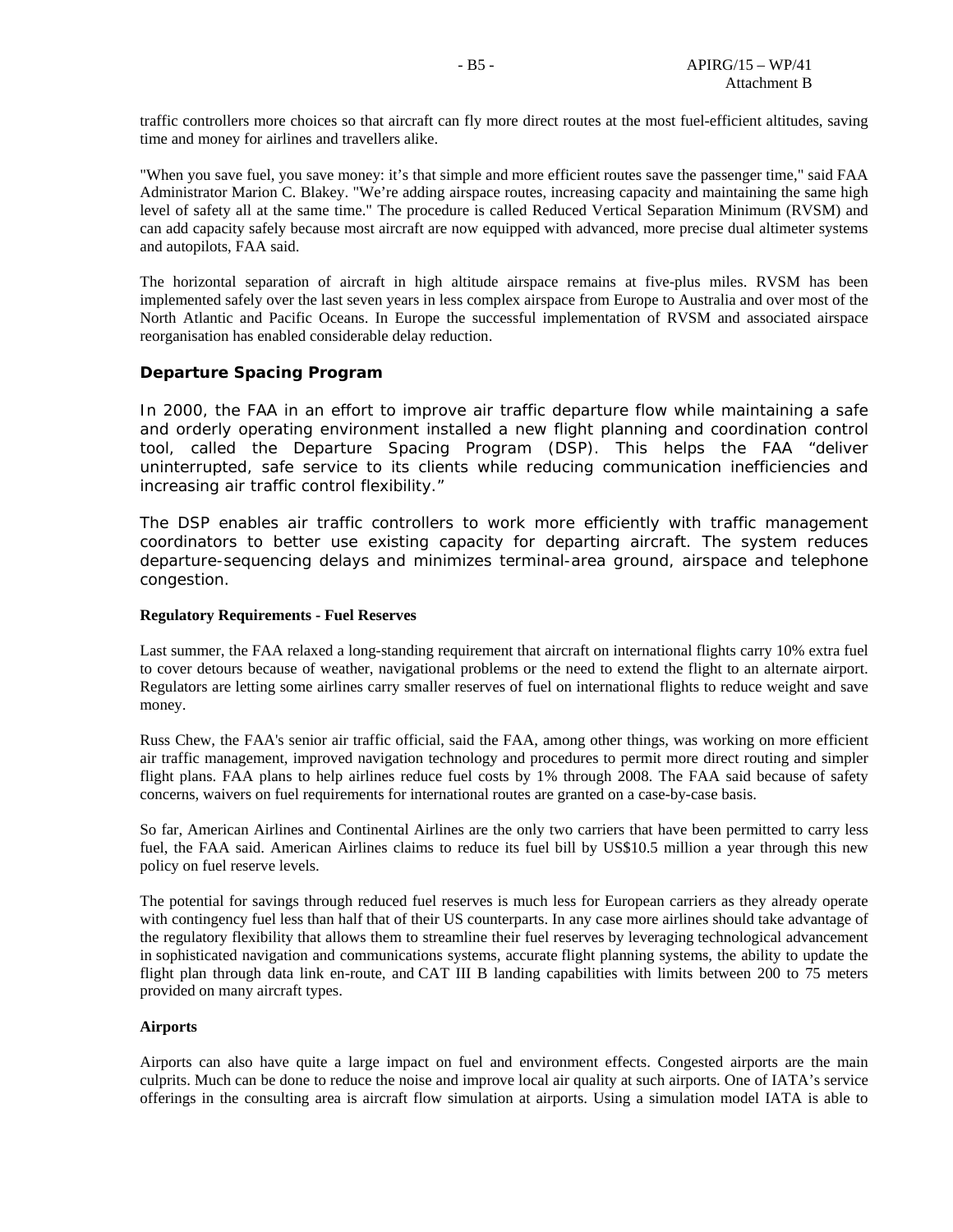traffic controllers more choices so that aircraft can fly more direct routes at the most fuel-efficient altitudes, saving time and money for airlines and travellers alike.

"When you save fuel, you save money: it's that simple and more efficient routes save the passenger time," said FAA Administrator Marion C. Blakey. "We're adding airspace routes, increasing capacity and maintaining the same high level of safety all at the same time." The procedure is called Reduced Vertical Separation Minimum (RVSM) and can add capacity safely because most aircraft are now equipped with advanced, more precise dual altimeter systems and autopilots, FAA said.

The horizontal separation of aircraft in high altitude airspace remains at five-plus miles. RVSM has been implemented safely over the last seven years in less complex airspace from Europe to Australia and over most of the North Atlantic and Pacific Oceans. In Europe the successful implementation of RVSM and associated airspace reorganisation has enabled considerable delay reduction.

## **Departure Spacing Program**

In 2000, the FAA in an effort to improve air traffic departure flow while maintaining a safe and orderly operating environment installed a new flight planning and coordination control tool, called the Departure Spacing Program (DSP). This helps the FAA "deliver uninterrupted, safe service to its clients while reducing communication inefficiencies and increasing air traffic control flexibility."

The DSP enables air traffic controllers to work more efficiently with traffic management coordinators to better use existing capacity for departing aircraft. The system reduces departure-sequencing delays and minimizes terminal-area ground, airspace and telephone congestion.

#### **Regulatory Requirements - Fuel Reserves**

Last summer, the FAA relaxed a long-standing requirement that aircraft on international flights carry 10% extra fuel to cover detours because of weather, navigational problems or the need to extend the flight to an alternate airport. Regulators are letting some airlines carry smaller reserves of fuel on international flights to reduce weight and save money.

Russ Chew, the FAA's senior air traffic official, said the FAA, among other things, was working on more efficient air traffic management, improved navigation technology and procedures to permit more direct routing and simpler flight plans. FAA plans to help airlines reduce fuel costs by 1% through 2008. The FAA said because of safety concerns, waivers on fuel requirements for international routes are granted on a case-by-case basis.

So far, American Airlines and Continental Airlines are the only two carriers that have been permitted to carry less fuel, the FAA said. American Airlines claims to reduce its fuel bill by US\$10.5 million a year through this new policy on fuel reserve levels.

The potential for savings through reduced fuel reserves is much less for European carriers as they already operate with contingency fuel less than half that of their US counterparts. In any case more airlines should take advantage of the regulatory flexibility that allows them to streamline their fuel reserves by leveraging technological advancement in sophisticated navigation and communications systems, accurate flight planning systems, the ability to update the flight plan through data link en-route, and CAT III B landing capabilities with limits between 200 to 75 meters provided on many aircraft types.

### **Airports**

Airports can also have quite a large impact on fuel and environment effects. Congested airports are the main culprits. Much can be done to reduce the noise and improve local air quality at such airports. One of IATA's service offerings in the consulting area is aircraft flow simulation at airports. Using a simulation model IATA is able to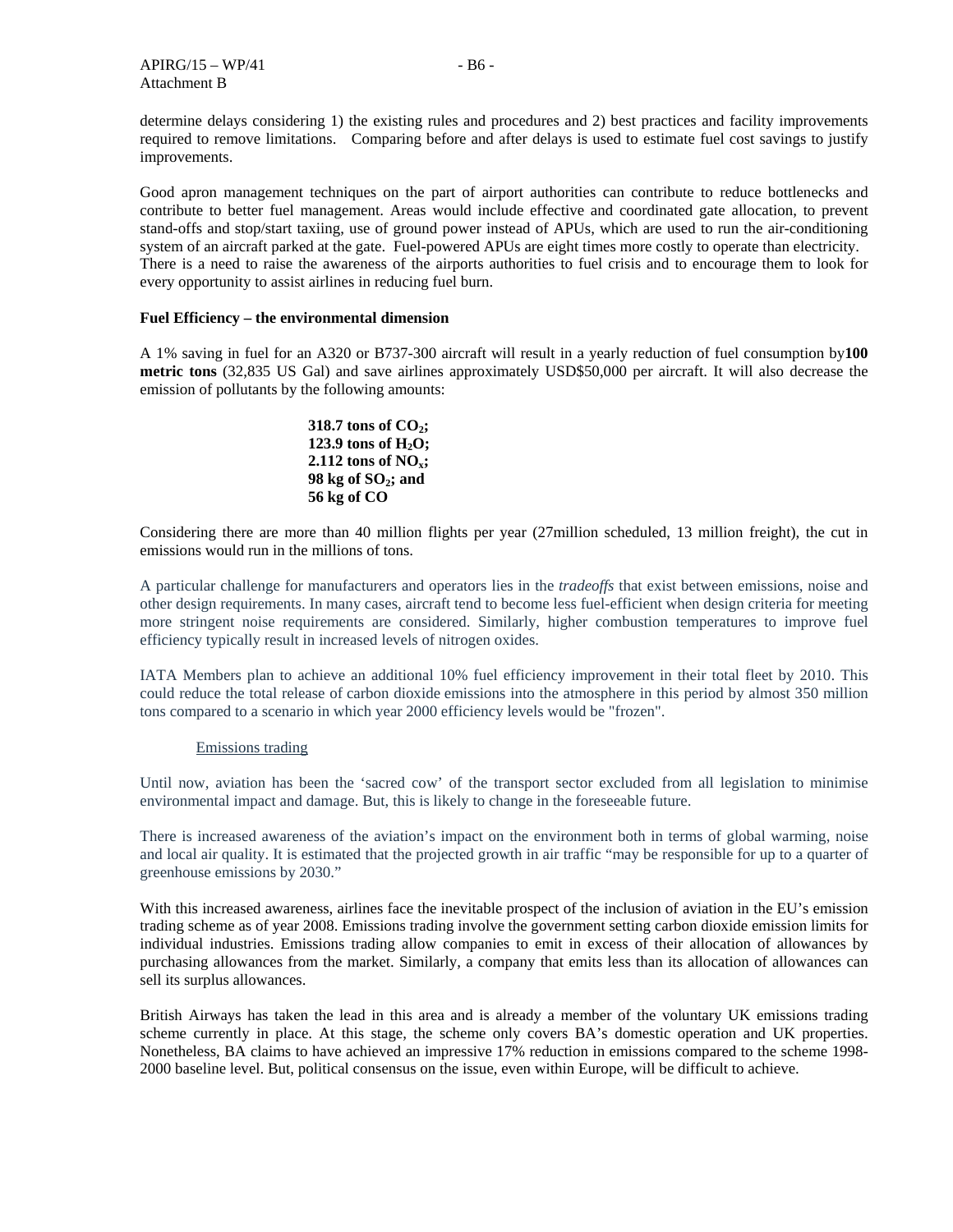determine delays considering 1) the existing rules and procedures and 2) best practices and facility improvements required to remove limitations. Comparing before and after delays is used to estimate fuel cost savings to justify improvements.

Good apron management techniques on the part of airport authorities can contribute to reduce bottlenecks and contribute to better fuel management. Areas would include effective and coordinated gate allocation, to prevent stand-offs and stop/start taxiing, use of ground power instead of APUs, which are used to run the air-conditioning system of an aircraft parked at the gate. Fuel-powered APUs are eight times more costly to operate than electricity. There is a need to raise the awareness of the airports authorities to fuel crisis and to encourage them to look for every opportunity to assist airlines in reducing fuel burn.

#### **Fuel Efficiency – the environmental dimension**

A 1% saving in fuel for an A320 or B737-300 aircraft will result in a yearly reduction of fuel consumption by**100 metric tons** (32,835 US Gal) and save airlines approximately USD\$50,000 per aircraft. It will also decrease the emission of pollutants by the following amounts:

318.7 tons of 
$$
CO_2
$$
;

\n123.9 tons of  $H_2O$ ;

\n2.112 tons of  $NO_x$ ;

\n98 kg of  $SO_2$ ;

\nand 56 kg of  $CO$ 

Considering there are more than 40 million flights per year (27million scheduled, 13 million freight), the cut in emissions would run in the millions of tons.

A particular challenge for manufacturers and operators lies in the *tradeoffs* that exist between emissions, noise and other design requirements. In many cases, aircraft tend to become less fuel-efficient when design criteria for meeting more stringent noise requirements are considered. Similarly, higher combustion temperatures to improve fuel efficiency typically result in increased levels of nitrogen oxides.

IATA Members plan to achieve an additional 10% fuel efficiency improvement in their total fleet by 2010. This could reduce the total release of carbon dioxide emissions into the atmosphere in this period by almost 350 million tons compared to a scenario in which year 2000 efficiency levels would be "frozen".

#### Emissions trading

Until now, aviation has been the 'sacred cow' of the transport sector excluded from all legislation to minimise environmental impact and damage. But, this is likely to change in the foreseeable future.

There is increased awareness of the aviation's impact on the environment both in terms of global warming, noise and local air quality. It is estimated that the projected growth in air traffic "may be responsible for up to a quarter of greenhouse emissions by 2030."

With this increased awareness, airlines face the inevitable prospect of the inclusion of aviation in the EU's emission trading scheme as of year 2008. Emissions trading involve the government setting carbon dioxide emission limits for individual industries. Emissions trading allow companies to emit in excess of their allocation of allowances by purchasing allowances from the market. Similarly, a company that emits less than its allocation of allowances can sell its surplus allowances.

British Airways has taken the lead in this area and is already a member of the voluntary UK emissions trading scheme currently in place. At this stage, the scheme only covers BA's domestic operation and UK properties. Nonetheless, BA claims to have achieved an impressive 17% reduction in emissions compared to the scheme 1998- 2000 baseline level. But, political consensus on the issue, even within Europe, will be difficult to achieve.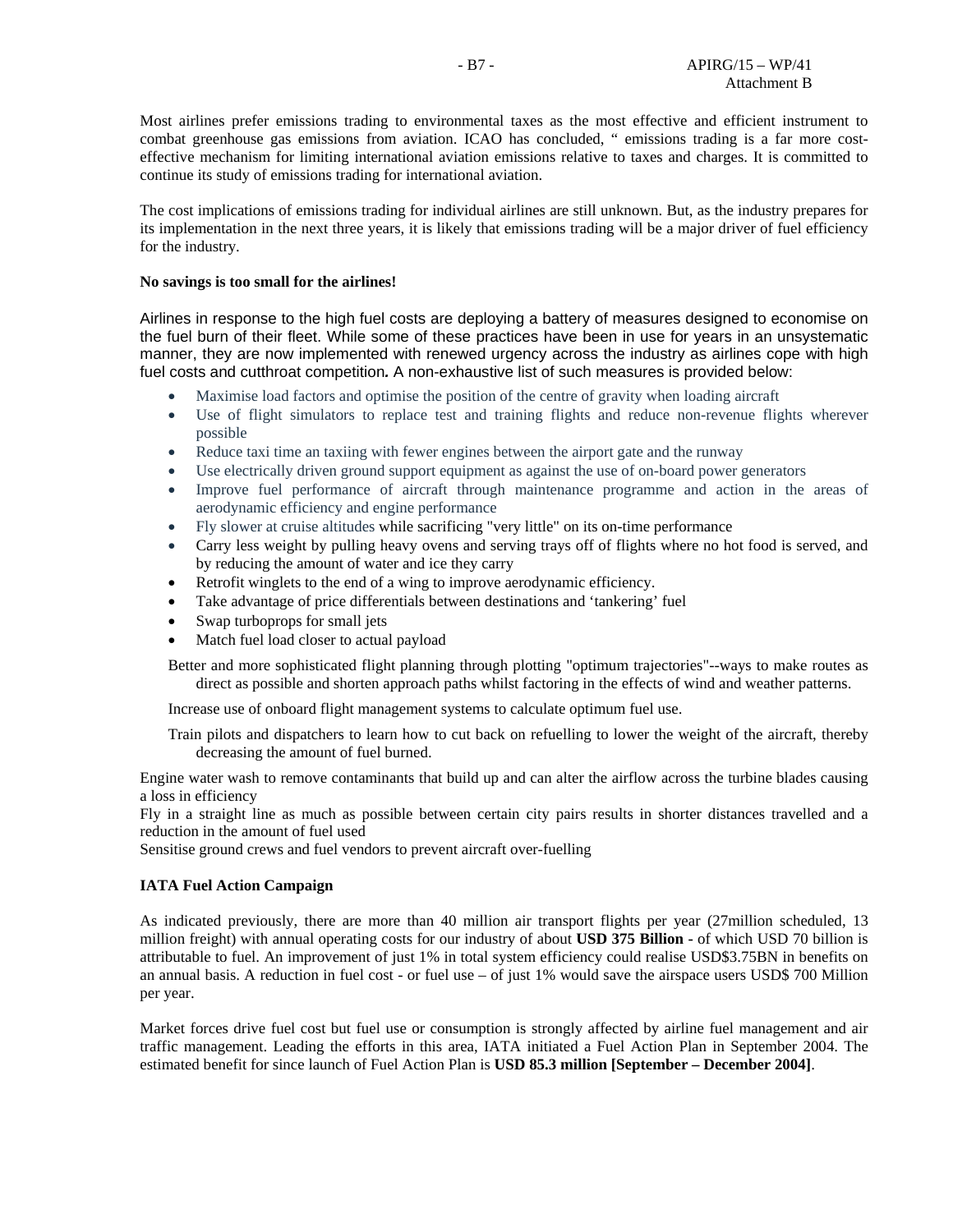Most airlines prefer emissions trading to environmental taxes as the most effective and efficient instrument to combat greenhouse gas emissions from aviation. ICAO has concluded, " emissions trading is a far more costeffective mechanism for limiting international aviation emissions relative to taxes and charges. It is committed to continue its study of emissions trading for international aviation.

The cost implications of emissions trading for individual airlines are still unknown. But, as the industry prepares for its implementation in the next three years, it is likely that emissions trading will be a major driver of fuel efficiency for the industry.

#### **No savings is too small for the airlines!**

Airlines in response to the high fuel costs are deploying a battery of measures designed to economise on the fuel burn of their fleet. While some of these practices have been in use for years in an unsystematic manner, they are now implemented with renewed urgency across the industry as airlines cope with high fuel costs and cutthroat competition*.* A non-exhaustive list of such measures is provided below:

- Maximise load factors and optimise the position of the centre of gravity when loading aircraft
- Use of flight simulators to replace test and training flights and reduce non-revenue flights wherever possible
- Reduce taxi time an taxiing with fewer engines between the airport gate and the runway
- Use electrically driven ground support equipment as against the use of on-board power generators
- Improve fuel performance of aircraft through maintenance programme and action in the areas of aerodynamic efficiency and engine performance
- Fly slower at cruise altitudes while sacrificing "very little" on its on-time performance
- Carry less weight by pulling heavy ovens and serving trays off of flights where no hot food is served, and by reducing the amount of water and ice they carry
- Retrofit winglets to the end of a wing to improve aerodynamic efficiency.
- Take advantage of price differentials between destinations and 'tankering' fuel
- Swap turboprops for small jets
- Match fuel load closer to actual payload
- Better and more sophisticated flight planning through plotting "optimum trajectories"--ways to make routes as direct as possible and shorten approach paths whilst factoring in the effects of wind and weather patterns.

Increase use of onboard flight management systems to calculate optimum fuel use.

Train pilots and dispatchers to learn how to cut back on refuelling to lower the weight of the aircraft, thereby decreasing the amount of fuel burned.

Engine water wash to remove contaminants that build up and can alter the airflow across the turbine blades causing a loss in efficiency

Fly in a straight line as much as possible between certain city pairs results in shorter distances travelled and a reduction in the amount of fuel used

Sensitise ground crews and fuel vendors to prevent aircraft over-fuelling

### **IATA Fuel Action Campaign**

As indicated previously, there are more than 40 million air transport flights per year (27million scheduled, 13 million freight) with annual operating costs for our industry of about **USD 375 Billion -** of which USD 70 billion is attributable to fuel. An improvement of just 1% in total system efficiency could realise USD\$3.75BN in benefits on an annual basis. A reduction in fuel cost - or fuel use – of just 1% would save the airspace users USD\$ 700 Million per year.

Market forces drive fuel cost but fuel use or consumption is strongly affected by airline fuel management and air traffic management. Leading the efforts in this area, IATA initiated a Fuel Action Plan in September 2004. The estimated benefit for since launch of Fuel Action Plan is **USD 85.3 million [September – December 2004]**.